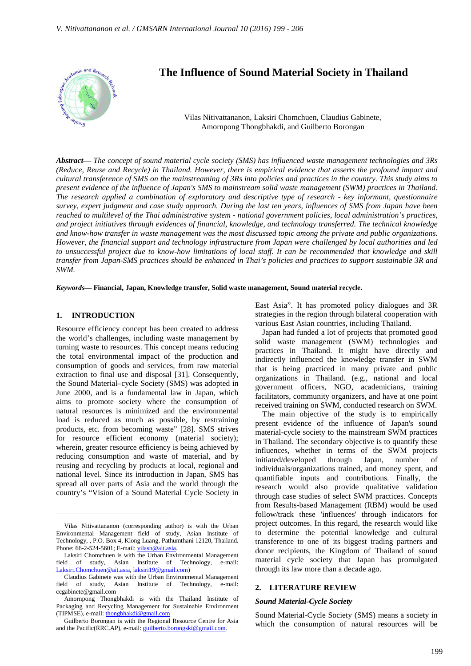

# **The Influence of Sound Material Society in Thailand**

Vilas Nitivattananon, Laksiri Chomchuen, Claudius Gabinete, Amornpong Thongbhakdi, and Guilberto Borongan

*Abstract***—** *The concept of sound material cycle society (SMS) has influenced waste management technologies and 3Rs (Reduce, Reuse and Recycle) in Thailand. However, there is empirical evidence that asserts the profound impact and cultural transference of SMS on the mainstreaming of 3Rs into policies and practices in the country. This study aims to present evidence of the influence of Japan's SMS to mainstream solid waste management (SWM) practices in Thailand. The research applied a combination of exploratory and descriptive type of research - key informant, questionnaire survey, expert judgment and case study approach. During the last ten years, influences of SMS from Japan have been reached to multilevel of the Thai administrative system - national government policies, local administration's practices, and project initiatives through evidences of financial, knowledge, and technology transferred. The technical knowledge and know-how transfer in waste management was the most discussed topic among the private and public organizations. However, the financial support and technology infrastructure from Japan were challenged by local authorities and led to unsuccessful project due to know-how limitations of local staff. It can be recommended that knowledge and skill transfer from Japan-SMS practices should be enhanced in Thai's policies and practices to support sustainable 3R and SWM.*

*Keywords***— Financial, Japan, Knowledge transfer, Solid waste management, Sound material recycle.**

## **1. INTRODUCTION**

 $\overline{a}$ 

Resource efficiency concept has been created to address the world's challenges, including waste management by turning waste to resources. This concept means reducing the total environmental impact of the production and consumption of goods and services, from raw material extraction to final use and disposal [31]. Consequently, the Sound Material–cycle Society (SMS) was adopted in June 2000, and is a fundamental law in Japan, which aims to promote society where the consumption of natural resources is minimized and the environmental load is reduced as much as possible, by restraining products, etc. from becoming waste" [28]. SMS strives for resource efficient economy (material society); wherein, greater resource efficiency is being achieved by reducing consumption and waste of material, and by reusing and recycling by products at local, regional and national level. Since its introduction in Japan, SMS has spread all over parts of Asia and the world through the country's "Vision of a Sound Material Cycle Society in East Asia". It has promoted policy dialogues and 3R strategies in the region through bilateral cooperation with various East Asian countries, including Thailand.

Japan had funded a lot of projects that promoted good solid waste management (SWM) technologies and practices in Thailand. It might have directly and indirectly influenced the knowledge transfer in SWM that is being practiced in many private and public organizations in Thailand. (e.g., national and local government officers, NGO, academicians, training facilitators, community organizers, and have at one point received training on SWM, conducted research on SWM.

The main objective of the study is to empirically present evidence of the influence of Japan's sound material-cycle society to the mainstream SWM practices in Thailand. The secondary objective is to quantify these influences, whether in terms of the SWM projects initiated/developed through Japan, number of individuals/organizations trained, and money spent, and quantifiable inputs and contributions. Finally, the research would also provide qualitative validation through case studies of select SWM practices. Concepts from Results-based Management (RBM) would be used follow/track these 'influences' through indicators for project outcomes. In this regard, the research would like to determine the potential knowledge and cultural transference to one of its biggest trading partners and donor recipients, the Kingdom of Thailand of sound material cycle society that Japan has promulgated through its law more than a decade ago.

## **2. LITERATURE REVIEW**

#### *Sound Material-Cycle Society*

Sound Material-Cycle Society (SMS) means a society in which the consumption of natural resources will be

Vilas Nitivattananon (corresponding author) is with the Urban Environmental Management field of study, Asian Institute of Technology, , P.O. Box 4, Klong Luang, Pathumthani 12120, Thailand. Phone: 66-2-524-5601; E-mail: vilasn@ait.asia.

Laksiri Chomchuen is with the Urban Environmental Management field of study, Asian Institute of Technology, e-mail: Laksiri.Chomchuen@ait.asia, laksiri19@gmail.com)

Claudius Gabinete was with the Urban Environmental Management field of study, Asian Institute of Technology, e-mail: ccgabinete@gmail.com

Amornpong Thongbhakdi is with the Thailand Institute of Packaging and Recycling Management for Sustainable Environment (TIPMSE), e-mail: thongbhakdi@gmail.com

Guilberto Borongan is with the Regional Resource Centre for Asia and the Pacific(RRC.AP), e-mail: guilberto.borongski@gmail.com.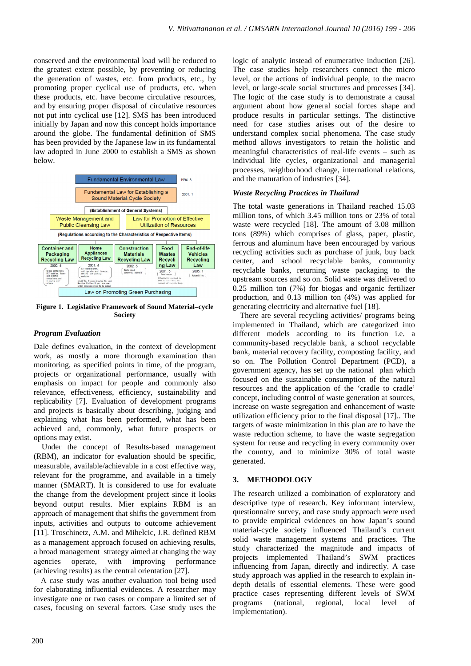conserved and the environmental load will be reduced to the greatest extent possible, by preventing or reducing the generation of wastes, etc. from products, etc., by promoting proper cyclical use of products, etc. when these products, etc. have become circulative resources, and by ensuring proper disposal of circulative resources not put into cyclical use [12]. SMS has been introduced initially by Japan and now this concept holds importance around the globe. The fundamental definition of SMS has been provided by the Japanese law in its fundamental law adopted in June 2000 to establish a SMS as shown below.



**Figure 1. Legislative Framework of Sound Material–cycle Society** 

## *Program Evaluation*

Dale defines evaluation, in the context of development work, as mostly a more thorough examination than monitoring, as specified points in time, of the program, projects or organizational performance, usually with emphasis on impact for people and commonly also relevance, effectiveness, efficiency, sustainability and replicability [7]. Evaluation of development programs and projects is basically about describing, judging and explaining what has been performed, what has been achieved and, commonly, what future prospects or options may exist.

Under the concept of Results-based management (RBM), an indicator for evaluation should be specific, measurable, available/achievable in a cost effective way, relevant for the programme, and available in a timely manner (SMART). It is considered to use for evaluate the change from the development project since it looks beyond output results. Mier explains RBM is an approach of management that shifts the government from inputs, activities and outputs to outcome achievement [11]. Troschinetz, A.M. and Mihelcic, J.R. defined RBM as a management approach focused on achieving results, a broad management strategy aimed at changing the way agencies operate, with improving performance (achieving results) as the central orientation [27].

A case study was another evaluation tool being used for elaborating influential evidences. A researcher may investigate one or two cases or compare a limited set of cases, focusing on several factors. Case study uses the

logic of analytic instead of enumerative induction [26]. The case studies help researchers connect the micro level, or the actions of individual people, to the macro level, or large-scale social structures and processes [34]. The logic of the case study is to demonstrate a causal argument about how general social forces shape and produce results in particular settings. The distinctive need for case studies arises out of the desire to understand complex social phenomena. The case study method allows investigators to retain the holistic and meaningful characteristics of real-life events – such as individual life cycles, organizational and managerial processes, neighborhood change, international relations, and the maturation of industries [34].

# *Waste Recycling Practices in Thailand*

The total waste generations in Thailand reached 15.03 million tons, of which 3.45 million tons or 23% of total waste were recycled [18]. The amount of 3.08 million tons (89%) which comprises of glass, paper, plastic, ferrous and aluminum have been encouraged by various recycling activities such as purchase of junk, buy back center, and school recyclable banks, community recyclable banks, returning waste packaging to the upstream sources and so on. Solid waste was delivered to 0.25 million ton (7%) for biogas and organic fertilizer production, and 0.13 million ton (4%) was applied for generating electricity and alternative fuel [18].

There are several recycling activities/ programs being implemented in Thailand, which are categorized into different models according to its function i.e. a community-based recyclable bank, a school recyclable bank, material recovery facility, composting facility, and so on. The Pollution Control Department (PCD), a government agency, has set up the national plan which focused on the sustainable consumption of the natural resources and the application of the 'cradle to cradle' concept, including control of waste generation at sources, increase on waste segregation and enhancement of waste utilization efficiency prior to the final disposal [17].. The targets of waste minimization in this plan are to have the waste reduction scheme, to have the waste segregation system for reuse and recycling in every community over the country, and to minimize 30% of total waste generated.

# **3. METHODOLOGY**

The research utilized a combination of exploratory and descriptive type of research. Key informant interview, questionnaire survey, and case study approach were used to provide empirical evidences on how Japan's sound material-cycle society influenced Thailand's current solid waste management systems and practices. The study characterized the magnitude and impacts of projects implemented Thailand's SWM practices influencing from Japan, directly and indirectly. A case study approach was applied in the research to explain indepth details of essential elements. These were good practice cases representing different levels of SWM programs (national, regional, local level of implementation).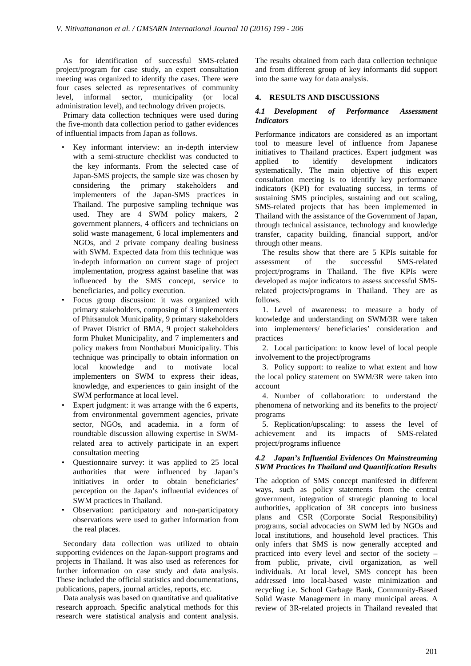As for identification of successful SMS-related project/program for case study, an expert consultation meeting was organized to identify the cases. There were four cases selected as representatives of community level, informal sector, municipality (or local administration level), and technology driven projects.

Primary data collection techniques were used during the five-month data collection period to gather evidences of influential impacts from Japan as follows.

- Key informant interview: an in-depth interview with a semi-structure checklist was conducted to the key informants. From the selected case of Japan-SMS projects, the sample size was chosen by considering the primary stakeholders and implementers of the Japan-SMS practices in Thailand. The purposive sampling technique was used. They are 4 SWM policy makers, 2 government planners, 4 officers and technicians on solid waste management, 6 local implementers and NGOs, and 2 private company dealing business with SWM. Expected data from this technique was in-depth information on current stage of project implementation, progress against baseline that was influenced by the SMS concept, service to beneficiaries, and policy execution.
- Focus group discussion: it was organized with primary stakeholders, composing of 3 implementers of Phitsanulok Municipality, 9 primary stakeholders of Pravet District of BMA, 9 project stakeholders form Phuket Municipality, and 7 implementers and policy makers from Nonthaburi Municipality. This technique was principally to obtain information on local knowledge and to motivate local implementers on SWM to express their ideas, knowledge, and experiences to gain insight of the SWM performance at local level.
- Expert judgment: it was arrange with the 6 experts, from environmental government agencies, private sector, NGOs, and academia. in a form of roundtable discussion allowing expertise in SWMrelated area to actively participate in an expert consultation meeting
- Questionnaire survey: it was applied to 25 local authorities that were influenced by Japan's initiatives in order to obtain beneficiaries' perception on the Japan's influential evidences of SWM practices in Thailand.
- Observation: participatory and non-participatory observations were used to gather information from the real places.

Secondary data collection was utilized to obtain supporting evidences on the Japan-support programs and projects in Thailand. It was also used as references for further information on case study and data analysis. These included the official statistics and documentations, publications, papers, journal articles, reports, etc.

Data analysis was based on quantitative and qualitative research approach. Specific analytical methods for this research were statistical analysis and content analysis.

The results obtained from each data collection technique and from different group of key informants did support into the same way for data analysis.

# **4. RESULTS AND DISCUSSIONS**

## *4.1 Development of Performance Assessment Indicators*

Performance indicators are considered as an important tool to measure level of influence from Japanese initiatives to Thailand practices. Expert judgment was applied to identify development indicators systematically. The main objective of this expert consultation meeting is to identify key performance indicators (KPI) for evaluating success, in terms of sustaining SMS principles, sustaining and out scaling, SMS-related projects that has been implemented in Thailand with the assistance of the Government of Japan, through technical assistance, technology and knowledge transfer, capacity building, financial support, and/or through other means.

The results show that there are 5 KPIs suitable for assessment of the successful SMS-related project/programs in Thailand. The five KPIs were developed as major indicators to assess successful SMSrelated projects/programs in Thailand. They are as follows.

1. Level of awareness: to measure a body of knowledge and understanding on SWM/3R were taken into implementers/ beneficiaries' consideration and practices

2. Local participation: to know level of local people involvement to the project/programs

3. Policy support: to realize to what extent and how the local policy statement on SWM/3R were taken into account

4. Number of collaboration: to understand the phenomena of networking and its benefits to the project/ programs

5. Replication/upscaling: to assess the level of achievement and its impacts of SMS-related project/programs influence

# *4.2 Japan's Influential Evidences On Mainstreaming SWM Practices In Thailand and Quantification Results*

The adoption of SMS concept manifested in different ways, such as policy statements from the central government, integration of strategic planning to local authorities, application of 3R concepts into business plans and CSR (Corporate Social Responsibility) programs, social advocacies on SWM led by NGOs and local institutions, and household level practices. This only infers that SMS is now generally accepted and practiced into every level and sector of the society – from public, private, civil organization, as well individuals. At local level, SMS concept has been addressed into local-based waste minimization and recycling i.e. School Garbage Bank, Community-Based Solid Waste Management in many municipal areas. A review of 3R-related projects in Thailand revealed that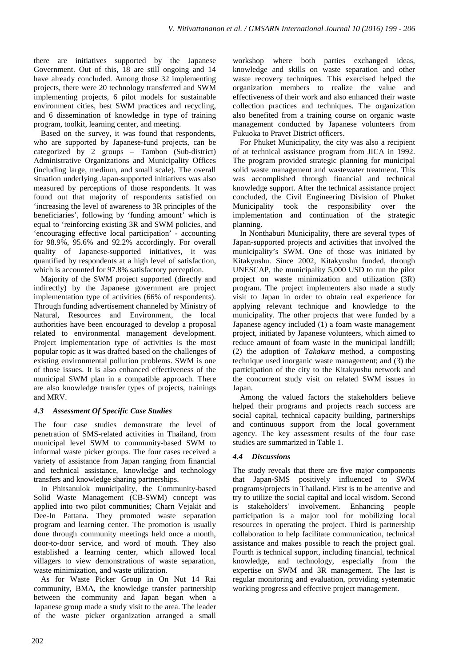there are initiatives supported by the Japanese Government. Out of this, 18 are still ongoing and 14 have already concluded. Among those 32 implementing projects, there were 20 technology transferred and SWM implementing projects, 6 pilot models for sustainable environment cities, best SWM practices and recycling, and 6 dissemination of knowledge in type of training program, toolkit, learning center, and meeting.

Based on the survey, it was found that respondents, who are supported by Japanese-fund projects, can be categorized by 2 groups – Tambon (Sub-district) Administrative Organizations and Municipality Offices (including large, medium, and small scale). The overall situation underlying Japan-supported initiatives was also measured by perceptions of those respondents. It was found out that majority of respondents satisfied on 'increasing the level of awareness to 3R principles of the beneficiaries', following by 'funding amount' which is equal to 'reinforcing existing 3R and SWM policies, and 'encouraging effective local participation' - accounting for 98.9%, 95.6% and 92.2% accordingly. For overall quality of Japanese-supported initiatives, it was quantified by respondents at a high level of satisfaction, which is accounted for 97.8% satisfactory perception.

Majority of the SWM project supported (directly and indirectly) by the Japanese government are project implementation type of activities (66% of respondents). Through funding advertisement channeled by Ministry of Natural, Resources and Environment, the local authorities have been encouraged to develop a proposal related to environmental management development. Project implementation type of activities is the most popular topic as it was drafted based on the challenges of existing environmental pollution problems. SWM is one of those issues. It is also enhanced effectiveness of the municipal SWM plan in a compatible approach. There are also knowledge transfer types of projects, trainings and MRV.

## *4.3 Assessment Of Specific Case Studies*

The four case studies demonstrate the level of penetration of SMS-related activities in Thailand, from municipal level SWM to community-based SWM to informal waste picker groups. The four cases received a variety of assistance from Japan ranging from financial and technical assistance, knowledge and technology transfers and knowledge sharing partnerships.

In Phitsanulok municipality, the Community-based Solid Waste Management (CB-SWM) concept was applied into two pilot communities; Charn Vejakit and Dee-In Pattana. They promoted waste separation program and learning center. The promotion is usually done through community meetings held once a month, door-to-door service, and word of mouth. They also established a learning center, which allowed local villagers to view demonstrations of waste separation, waste minimization, and waste utilization.

As for Waste Picker Group in On Nut 14 Rai community, BMA, the knowledge transfer partnership between the community and Japan began when a Japanese group made a study visit to the area. The leader of the waste picker organization arranged a small workshop where both parties exchanged ideas, knowledge and skills on waste separation and other waste recovery techniques. This exercised helped the organization members to realize the value and effectiveness of their work and also enhanced their waste collection practices and techniques. The organization also benefited from a training course on organic waste management conducted by Japanese volunteers from Fukuoka to Pravet District officers.

For Phuket Municipality, the city was also a recipient of at technical assistance program from JICA in 1992. The program provided strategic planning for municipal solid waste management and wastewater treatment. This was accomplished through financial and technical knowledge support. After the technical assistance project concluded, the Civil Engineering Division of Phuket Municipality took the responsibility over the implementation and continuation of the strategic planning.

In Nonthaburi Municipality, there are several types of Japan-supported projects and activities that involved the municipality's SWM. One of those was initiated by Kitakyushu. Since 2002, Kitakyushu funded, through UNESCAP, the municipality 5,000 USD to run the pilot project on waste minimization and utilization (3R) program. The project implementers also made a study visit to Japan in order to obtain real experience for applying relevant technique and knowledge to the municipality. The other projects that were funded by a Japanese agency included (1) a foam waste management project, initiated by Japanese volunteers, which aimed to reduce amount of foam waste in the municipal landfill; (2) the adoption of *Takakura* method, a composting technique used inorganic waste management; and (3) the participation of the city to the Kitakyushu network and the concurrent study visit on related SWM issues in Japan.

Among the valued factors the stakeholders believe helped their programs and projects reach success are social capital, technical capacity building, partnerships and continuous support from the local government agency. The key assessment results of the four case studies are summarized in Table 1.

# *4.4 Discussions*

The study reveals that there are five major components that Japan-SMS positively influenced to SWM programs/projects in Thailand. First is to be attentive and try to utilize the social capital and local wisdom. Second is stakeholders' involvement. Enhancing people participation is a major tool for mobilizing local resources in operating the project. Third is partnership collaboration to help facilitate communication, technical assistance and makes possible to reach the project goal. Fourth is technical support, including financial, technical knowledge, and technology, especially from the expertise on SWM and 3R management. The last is regular monitoring and evaluation, providing systematic working progress and effective project management.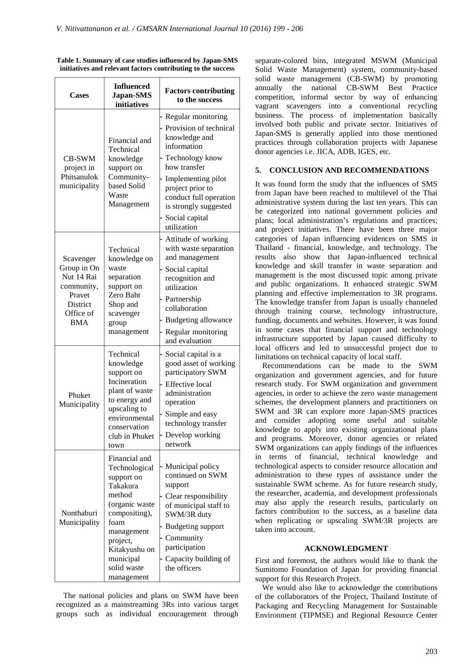| Cases                                                                                                 | <b>Influenced</b><br>Japan-SMS<br>initiatives                                                                                                                                                      | <b>Factors contributing</b><br>to the success                                                                                                                                                                                                 |
|-------------------------------------------------------------------------------------------------------|----------------------------------------------------------------------------------------------------------------------------------------------------------------------------------------------------|-----------------------------------------------------------------------------------------------------------------------------------------------------------------------------------------------------------------------------------------------|
| CB-SWM<br>project in<br>Phitsanulok<br>municipality                                                   | Financial and<br>Technical<br>knowledge<br>support on<br>Community-<br>based Solid<br>Waste<br>Management                                                                                          | Regular monitoring<br>Provision of technical<br>knowledge and<br>information<br>Technology know<br>how transfer<br>Implementing pilot<br>project prior to<br>conduct full operation<br>is strongly suggested<br>Social capital<br>utilization |
| Scavenger<br>Group in On<br>Nut 14 Rai<br>community,<br>Pravet<br>District<br>Office of<br><b>BMA</b> | Technical<br>knowledge on<br>waste<br>separation<br>support on<br>Zero Baht<br>Shop and<br>scavenger<br>group<br>management                                                                        | Attitude of working<br>with waste separation<br>and management<br>Social capital<br>recognition and<br>utilization<br>Partnership<br>collaboration<br>Budgeting allowance<br>Regular monitoring<br>and evaluation                             |
| Phuket<br>Municipality                                                                                | Technical<br>knowledge<br>support on<br>Incineration<br>plant of waste<br>to energy and<br>upscaling to<br>environmental<br>conservation<br>club in Phuket<br>town                                 | Social capital is a<br>good asset of working<br>participatory SWM<br><b>Effective</b> local<br>administration<br>operation<br>Simple and easy<br>technology transfer<br>Develop working<br>network                                            |
| Nonthaburi<br>Municipality                                                                            | Financial and<br>Technological<br>support on<br>Takakura<br>method<br>(organic waste<br>compositing),<br>foam<br>management<br>project,<br>Kitakyushu on<br>municipal<br>solid waste<br>management | Municipal policy<br>continued on SWM<br>support<br>Clear responsibility<br>of municipal staff to<br>SWM/3R duty<br>Budgeting support<br>Community<br>participation<br>Capacity building of<br>the officers                                    |

**Table 1. Summary of case studies influenced by Japan-SMS initiatives and relevant factors contributing to the success** 

The national policies and plans on SWM have been recognized as a mainstreaming 3Rs into various target groups such as individual encouragement through

separate-colored bins, integrated MSWM (Municipal Solid Waste Management) system, community-based solid waste management (CB-SWM) by promoting annually the national CB-SWM Best Practice competition, informal sector by way of enhancing vagrant scavengers into a conventional recycling business. The process of implementation basically involved both public and private sector. Initiatives of Japan-SMS is generally applied into those mentioned practices through collaboration projects with Japanese donor agencies i.e. JICA, ADB, IGES, etc.

#### **5. CONCLUSION AND RECOMMENDATIONS**

It was found form the study that the influences of SMS from Japan have been reached to multilevel of the Thai administrative system during the last ten years. This can be categorized into national government policies and plans; local administration's regulations and practices; and project initiatives. There have been three major categories of Japan influencing evidences on SMS in Thailand - financial, knowledge, and technology. The results also show that Japan-influenced technical knowledge and skill transfer in waste separation and management is the most discussed topic among private and public organizations. It enhanced strategic SWM planning and effective implementation to 3R programs. The knowledge transfer from Japan is usually channeled through training course, technology infrastructure, funding, documents and websites. However, it was found in some cases that financial support and technology infrastructure supported by Japan caused difficulty to local officers and led to unsuccessful project due to limitations on technical capacity of local staff.

Recommendations can be made to the SWM organization and government agencies, and for future research study. For SWM organization and government agencies, in order to achieve the zero waste management schemes, the development planners and practitioners on SWM and 3R can explore more Japan-SMS practices and consider adopting some useful and suitable knowledge to apply into existing organizational plans and programs. Moreover, donor agencies or related SWM organizations can apply findings of the influences in terms of financial, technical knowledge and technological aspects to consider resource allocation and administration to these types of assistance under the sustainable SWM scheme. As for future research study, the researcher, academia, and development professionals may also apply the research results, particularly on factors contribution to the success, as a baseline data when replicating or upscaling SWM/3R projects are taken into account.

#### **ACKNOWLEDGMENT**

First and foremost, the authors would like to thank the Sumitomo Foundation of Japan for providing financial support for this Research Project.

We would also like to acknowledge the contributions of the collaborators of the Project, Thailand Institute of Packaging and Recycling Management for Sustainable Environment (TIPMSE) and Regional Resource Center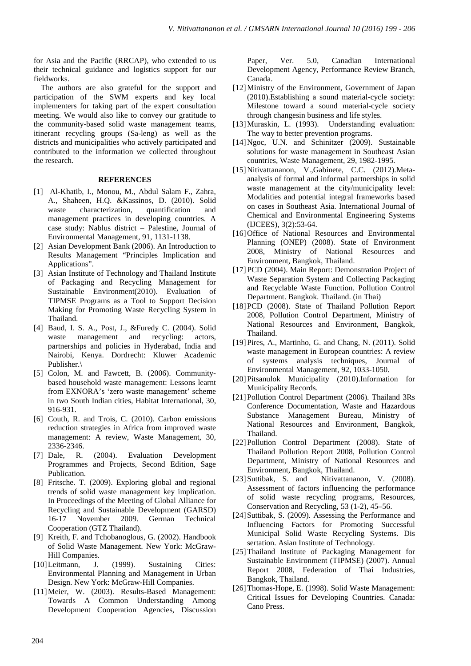for Asia and the Pacific (RRCAP), who extended to us their technical guidance and logistics support for our fieldworks.

The authors are also grateful for the support and participation of the SWM experts and key local implementers for taking part of the expert consultation meeting. We would also like to convey our gratitude to the community-based solid waste management teams, itinerant recycling groups (Sa-leng) as well as the districts and municipalities who actively participated and contributed to the information we collected throughout the research.

## **REFERENCES**

- [1] Al-Khatib, I., Monou, M., Abdul Salam F., Zahra, A., Shaheen, H.Q. &Kassinos, D. (2010). Solid waste characterization, quantification and management practices in developing countries. A case study: Nablus district – Palestine, Journal of Environmental Management, 91, 1131-1138.
- [2] Asian Development Bank (2006). An Introduction to Results Management "Principles Implication and Applications".
- [3] Asian Institute of Technology and Thailand Institute of Packaging and Recycling Management for Sustainable Environment(2010). Evaluation of TIPMSE Programs as a Tool to Support Decision Making for Promoting Waste Recycling System in Thailand.
- [4] Baud, I. S. A., Post, J., &Furedy C. (2004). Solid waste management and recycling: actors, partnerships and policies in Hyderabad, India and Nairobi, Kenya. Dordrecht: Kluwer Academic Publisher.\
- [5] Colon, M. and Fawcett, B. (2006). Communitybased household waste management: Lessons learnt from EXNORA's 'zero waste management' scheme in two South Indian cities, Habitat International, 30, 916-931.
- [6] Couth, R. and Trois, C. (2010). Carbon emissions reduction strategies in Africa from improved waste management: A review, Waste Management, 30, 2336-2346.
- [7] Dale, R. (2004). Evaluation Development Programmes and Projects, Second Edition, Sage Publication.
- [8] Fritsche. T. (2009). Exploring global and regional trends of solid waste management key implication. In Proceedings of the Meeting of Global Alliance for Recycling and Sustainable Development (GARSD) 16-17 November 2009. German Technical Cooperation (GTZ Thailand).
- [9] Kreith, F. and Tchobanoglous, G. (2002). Handbook of Solid Waste Management. New York: McGraw-Hill Companies.
- [10]Leitmann, J. (1999). Sustaining Cities: Environmental Planning and Management in Urban Design. New York: McGraw-Hill Companies.
- [11]Meier, W. (2003). Results-Based Management: Towards A Common Understanding Among Development Cooperation Agencies, Discussion

Paper, Ver. 5.0, Canadian International Development Agency, Performance Review Branch, Canada.

- [12]Ministry of the Environment, Government of Japan (2010).Establishing a sound material-cycle society: Milestone toward a sound material-cycle society through changesin business and life styles.
- [13]Muraskin, L. (1993). Understanding evaluation: The way to better prevention programs.
- [14]Ngoc, U.N. and Schinitzer (2009). Sustainable solutions for waste management in Southeast Asian countries, Waste Management, 29, 1982-1995.
- [15]Nitivattananon, V.,Gabinete, C.C. (2012).Metaanalysis of formal and informal partnerships in solid waste management at the city/municipality level: Modalities and potential integral frameworks based on cases in Southeast Asia. International Journal of Chemical and Environmental Engineering Systems (IJCEES), 3(2):53-64.
- [16] Office of National Resources and Environmental Planning (ONEP) (2008). State of Environment 2008, Ministry of National Resources and Environment, Bangkok, Thailand.
- [17] PCD (2004). Main Report: Demonstration Project of Waste Separation System and Collecting Packaging and Recyclable Waste Function. Pollution Control Department. Bangkok. Thailand. (in Thai)
- [18] PCD (2008). State of Thailand Pollution Report 2008, Pollution Control Department, Ministry of National Resources and Environment, Bangkok, Thailand.
- [19]Pires, A., Martinho, G. and Chang, N. (2011). Solid waste management in European countries: A review of systems analysis techniques, Journal of Environmental Management, 92, 1033-1050.
- [20]Pitsanulok Municipality (2010).Information for Municipality Records.
- [21]Pollution Control Department (2006). Thailand 3Rs Conference Documentation, Waste and Hazardous Substance Management Bureau, Ministry of National Resources and Environment, Bangkok, Thailand.
- [22]Pollution Control Department (2008). State of Thailand Pollution Report 2008, Pollution Control Department, Ministry of National Resources and Environment, Bangkok, Thailand.
- [23] Suttibak, S. and Nitivattananon, V. (2008). Assessment of factors influencing the performance of solid waste recycling programs, Resources, Conservation and Recycling, 53 (1-2), 45–56.
- [24] Suttibak, S. (2009). Assessing the Performance and Influencing Factors for Promoting Successful Municipal Solid Waste Recycling Systems. Dis sertation. Asian Institute of Technology.
- [25]Thailand Institute of Packaging Management for Sustainable Environment (TIPMSE) (2007). Annual Report 2008, Federation of Thai Industries, Bangkok, Thailand.
- [26]Thomas-Hope, E. (1998). Solid Waste Management: Critical Issues for Developing Countries. Canada: Cano Press.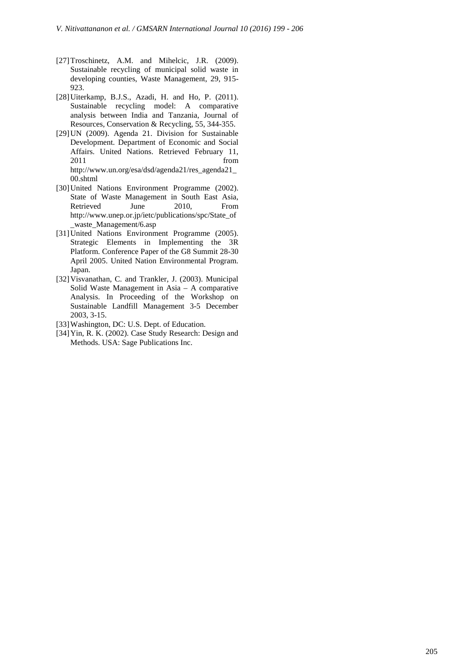- [27]Troschinetz, A.M. and Mihelcic, J.R. (2009). Sustainable recycling of municipal solid waste in developing counties, Waste Management, 29, 915- 923.
- [28]Uiterkamp, B.J.S., Azadi, H. and Ho, P. (2011). Sustainable recycling model: A comparative analysis between India and Tanzania, Journal of Resources, Conservation & Recycling, 55, 344-355.
- [29]UN (2009). Agenda 21. Division for Sustainable Development. Department of Economic and Social Affairs. United Nations. Retrieved February 11, 2011 from the state of  $\sim$ http://www.un.org/esa/dsd/agenda21/res\_agenda21\_ 00.shtml
- [30]United Nations Environment Programme (2002). State of Waste Management in South East Asia, Retrieved June 2010, From http://www.unep.or.jp/ietc/publications/spc/State\_of \_waste\_Management/6.asp
- [31]United Nations Environment Programme (2005). Strategic Elements in Implementing the 3R Platform. Conference Paper of the G8 Summit 28-30 April 2005. United Nation Environmental Program. Japan.
- [32]Visvanathan, C. and Trankler, J. (2003). Municipal Solid Waste Management in Asia – A comparative Analysis. In Proceeding of the Workshop on Sustainable Landfill Management 3-5 December 2003, 3-15.
- [33] Washington, DC: U.S. Dept. of Education.
- [34]Yin, R. K. (2002). Case Study Research: Design and Methods. USA: Sage Publications Inc.